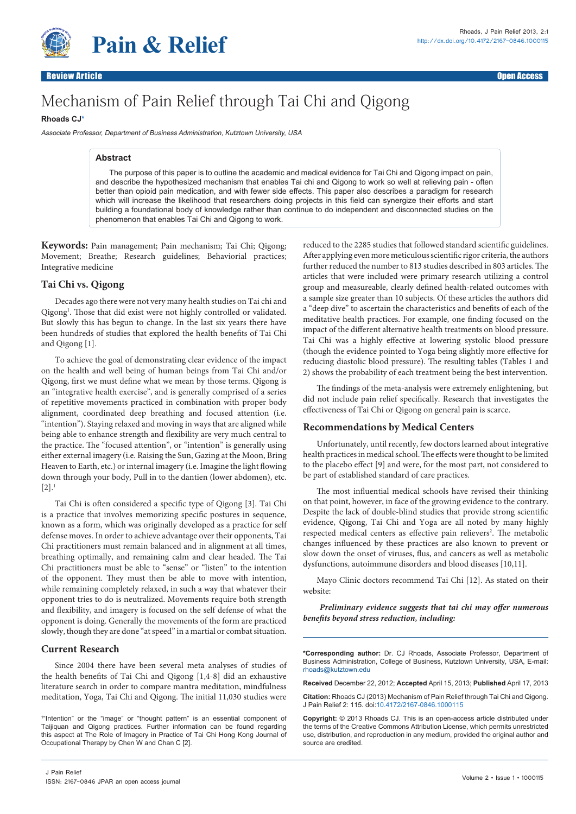

**Pain & Relief** 

# Mechanism of Pain Relief through Tai Chi and Qigong

# **Rhoads C[J\\*](#page-0-0)**

Associate Professor, Department of Business Administration, Kutztown University, USA

# **Abstract**

The purpose of this paper is to outline the academic and medical evidence for Tai Chi and Qigong impact on pain, and describe the hypothesized mechanism that enables Tai chi and Qigong to work so well at relieving pain - often better than opioid pain medication, and with fewer side effects. This paper also describes a paradigm for research which will increase the likelihood that researchers doing projects in this field can synergize their efforts and start building a foundational body of knowledge rather than continue to do independent and disconnected studies on the phenomenon that enables Tai Chi and Qigong to work.

**Keywords:** Pain management; Pain mechanism; Tai Chi; Qigong; Movement; Breathe; Research guidelines; Behaviorial practices; Integrative medicine

# **Tai Chi vs. Qigong**

Decades ago there were not very many health studies on Tai chi and Qigong<sup>1</sup>. Those that did exist were not highly controlled or validated. But slowly this has begun to change. In the last six years there have been hundreds of studies that explored the health benefits of Tai Chi and Qigong [1].

To achieve the goal of demonstrating clear evidence of the impact on the health and well being of human beings from Tai Chi and/or Qigong, first we must define what we mean by those terms. Qigong is an "integrative health exercise", and is generally comprised of a series of repetitive movements practiced in combination with proper body alignment, coordinated deep breathing and focused attention (i.e. "intention"). Staying relaxed and moving in ways that are aligned while being able to enhance strength and flexibility are very much central to the practice. The "focused attention", or "intention" is generally using either external imagery (i.e. Raising the Sun, Gazing at the Moon, Bring Heaven to Earth, etc.) or internal imagery (i.e. Imagine the light flowing down through your body, Pull in to the dantien (lower abdomen), etc.  $[2]$ .<sup>1</sup>

Tai Chi is often considered a specific type of Qigong [3]. Tai Chi is a practice that involves memorizing specific postures in sequence, known as a form, which was originally developed as a practice for self defense moves. In order to achieve advantage over their opponents, Tai Chi practitioners must remain balanced and in alignment at all times, breathing optimally, and remaining calm and clear headed. The Tai Chi practitioners must be able to "sense" or "listen" to the intention of the opponent. They must then be able to move with intention, while remaining completely relaxed, in such a way that whatever their opponent tries to do is neutralized. Movements require both strength and flexibility, and imagery is focused on the self defense of what the opponent is doing. Generally the movements of the form are practiced slowly, though they are done "at speed" in a martial or combat situation.

# **Current Research**

Since 2004 there have been several meta analyses of studies of the health benefits of Tai Chi and Qigong [1,4-8] did an exhaustive literature search in order to compare mantra meditation, mindfulness meditation, Yoga, Tai Chi and Qigong. The initial 11,030 studies were

1 "Intention" or the "image" or "thought pattern" is an essential component of Taijiquan and Qigong practices. Further information can be found regarding this aspect at The Role of Imagery in Practice of Tai Chi Hong Kong Journal of Occupational Therapy by Chen W and Chan C [2].

reduced to the 2285 studies that followed standard scientific guidelines. After applying even more meticulous scientific rigor criteria, the authors further reduced the number to 813 studies described in 803 articles. The articles that were included were primary research utilizing a control group and measureable, clearly defined health-related outcomes with a sample size greater than 10 subjects. Of these articles the authors did a "deep dive" to ascertain the characteristics and benefits of each of the meditative health practices. For example, one finding focused on the impact of the different alternative health treatments on blood pressure. Tai Chi was a highly effective at lowering systolic blood pressure (though the evidence pointed to Yoga being slightly more effective for reducing diastolic blood pressure). The resulting tables (Tables 1 and 2) shows the probability of each treatment being the best intervention.

The findings of the meta-analysis were extremely enlightening, but did not include pain relief specifically. Research that investigates the effectiveness of Tai Chi or Qigong on general pain is scarce.

# **Recommendations by Medical Centers**

Unfortunately, until recently, few doctors learned about integrative health practices in medical school. The effects were thought to be limited to the placebo effect [9] and were, for the most part, not considered to be part of established standard of care practices.

The most influential medical schools have revised their thinking on that point, however, in face of the growing evidence to the contrary. Despite the lack of double-blind studies that provide strong scientific evidence, Qigong, Tai Chi and Yoga are all noted by many highly respected medical centers as effective pain relievers<sup>2</sup>. The metabolic changes influenced by these practices are also known to prevent or slow down the onset of viruses, flus, and cancers as well as metabolic dysfunctions, autoimmune disorders and blood diseases [10,11].

Mayo Clinic doctors recommend Tai Chi [12]. As stated on their website:

 *Preliminary evidence suggests that tai chi may offer numerous benefits beyond stress reduction, including:*

<span id="page-0-0"></span>**\*Corresponding author:** Dr. CJ Rhoads, Associate Professor, Department of Business Administration, College of Business, Kutztown University, USA, E-mail: rhoads@kutztown.edu

**Received** December 22, 2012; **Accepted** April 15, 2013; **Published** April 17, 2013

**Citation:** Rhoads CJ (2013) Mechanism of Pain Relief through Tai Chi and Qigong. J Pain Relief 2: 115. doi[:10.4172/2167-0846.1000](http://dx.doi.org/10.4172/2167-0846.1000115)115

**Copyright:** © 2013 Rhoads CJ. This is an open-access article distributed under the terms of the Creative Commons Attribution License, which permits unrestricted use, distribution, and reproduction in any medium, provided the original author and source are credited.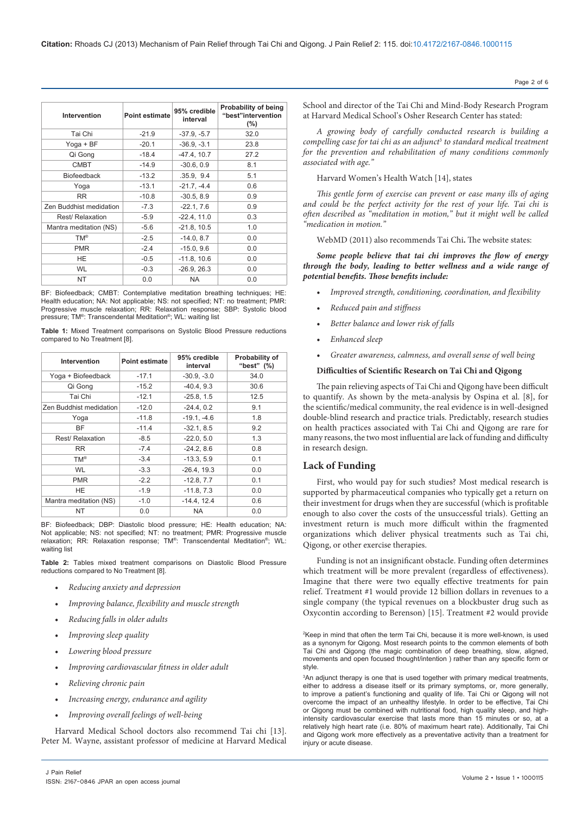| Intervention            | <b>Point estimate</b> | 95% credible<br>interval | <b>Probability of being</b><br>"best"intervention<br>$(\% )$ |
|-------------------------|-----------------------|--------------------------|--------------------------------------------------------------|
| Tai Chi                 | $-21.9$               | $-37.9, -5.7$            | 32.0                                                         |
| Yoga + BF               | $-20.1$               | $-36.9, -3.1$            | 23.8                                                         |
| Qi Gong                 | $-18.4$               | $-47.4, 10.7$            | 27.2                                                         |
| <b>CMBT</b>             | $-14.9$               | $-30.6, 0.9$             | 8.1                                                          |
| <b>Biofeedback</b>      | $-13.2$               | .35.9, 9.4               | 5.1                                                          |
| Yoga                    | $-13.1$               | $-21.7, -4.4$            | 0.6                                                          |
| <b>RR</b>               | $-10.8$               | $-30.5, 8.9$             | 0.9                                                          |
| Zen Buddhist medidation | $-7.3$                | $-22.1, 7.6$             | 0.9                                                          |
| Rest/ Relaxation        | $-5.9$                | $-22.4, 11.0$            | 0.3                                                          |
| Mantra meditation (NS)  | $-5.6$                | $-21.8, 10.5$            | 1.0                                                          |
| <b>TM®</b>              | $-2.5$                | $-14.0, 8.7$             | 0.0                                                          |
| <b>PMR</b>              | $-2.4$                | $-15.0, 9.6$             | 0.0                                                          |
| HE                      | $-0.5$                | $-11.8, 10.6$            | 0.0                                                          |
| <b>WL</b>               | $-0.3$                | $-26.9, 26.3$            | 0.0                                                          |
| NT                      | 0.0                   | <b>NA</b>                | 0.0                                                          |

BF: Biofeedback: CMBT: Contemplative meditation breathing techniques: HE: Health education; NA: Not applicable; NS: not specified; NT: no treatment; PMR: Progressive muscle relaxation; RR: Relaxation response; SBP: Systolic blood pressure; TM®: Transcendental Meditation®; WL: waiting list

**Table 1:** Mixed Treatment comparisons on Systolic Blood Pressure reductions compared to No Treatment [8].

| Intervention            | Point estimate | 95% credible<br>interval | Probability of<br>"best" (%) |
|-------------------------|----------------|--------------------------|------------------------------|
| Yoga + Biofeedback      | $-17.1$        | $-30.9, -3.0$            | 34.0                         |
| Qi Gong                 | $-15.2$        | $-40.4, 9.3$             | 30.6                         |
| Tai Chi                 | $-12.1$        | $-25.8, 1.5$             | 12.5                         |
| Zen Buddhist medidation | $-12.0$        | $-24.4.0.2$              | 9.1                          |
| Yoga                    | $-11.8$        | $-19.1, -4.6$            | 1.8                          |
| <b>BF</b>               | $-11.4$        | $-32.1, 8.5$             | 9.2                          |
| Rest/ Relaxation        | $-8.5$         | $-22.0, 5.0$             | 1.3                          |
| <b>RR</b>               | $-7.4$         | $-24.2, 8.6$             | 0.8                          |
| <b>TM®</b>              | $-3.4$         | $-13.3, 5.9$             | 0.1                          |
| WL.                     | $-3.3$         | $-26.4, 19.3$            | 0.0                          |
| <b>PMR</b>              | $-2.2$         | $-12.8, 7.7$             | 0.1                          |
| HE                      | $-1.9$         | $-11.8, 7.3$             | 0.0                          |
| Mantra meditation (NS)  | $-1.0$         | $-14.4, 12.4$            | 0.6                          |
| NT                      | 0.0            | <b>NA</b>                | 0.0                          |

BF: Biofeedback; DBP: Diastolic blood pressure; HE: Health education; NA: Not applicable; NS: not specified; NT: no treatment; PMR: Progressive muscle relaxation; RR: Relaxation response; TM®: Transcendental Meditation®; WL: waiting list

**Table 2:** Tables mixed treatment comparisons on Diastolic Blood Pressure reductions compared to No Treatment [8].

- **•**  *Reducing anxiety and depression*
- **•**  *Improving balance, flexibility and muscle strength*
- **•**  *Reducing falls in older adults*
- *Improving sleep quality*
- **•**  *Lowering blood pressure*
- **•**  *Improving cardiovascular fitness in older adult*
- **•**  *Relieving chronic pain*

J Pain Relief

- **•**  *Increasing energy, endurance and agility*
- **•**  *Improving overall feelings of well-being*

Harvard Medical School doctors also recommend Tai chi [13]. Peter M. Wayne, assistant professor of medicine at Harvard Medical

School and director of the Tai Chi and Mind-Body Research Program at Harvard Medical School's Osher Research Center has stated:

*A growing body of carefully conducted research is building a compelling case for tai chi as an adjunct*<sup>3</sup>  *to standard medical treatment for the prevention and rehabilitation of many conditions commonly associated with age."* 

Harvard Women's Health Watch [14], states

*This gentle form of exercise can prevent or ease many ills of aging and could be the perfect activity for the rest of your life. Tai chi is often described as "meditation in motion," but it might well be called "medication in motion."* 

WebMD (2011) also recommends Tai Chi**.** The website states:

*Some people believe that tai chi improves the flow of energy through the body, leading to better wellness and a wide range of potential benefits. Those benefits include:*

- **•**  *Improved strength, conditioning, coordination, and flexibility*
- **•**  *Reduced pain and stiffness*
- **•**  *Better balance and lower risk of falls*
- $Enhanced\,s$
- **•**  *Greater awareness, calmness, and overall sense of well being*

## **Difficulties of Scientific Research on Tai Chi and Qigong**

The pain relieving aspects of Tai Chi and Qigong have been difficult to quantify. As shown by the meta-analysis by Ospina et al. [8], for the scientific/medical community, the real evidence is in well-designed double-blind research and practice trials. Predictably, research studies on health practices associated with Tai Chi and Qigong are rare for many reasons, the two most influential are lack of funding and difficulty in research design.

# **Lack of Funding**

First, who would pay for such studies? Most medical research is supported by pharmaceutical companies who typically get a return on their investment for drugs when they are successful (which is profitable enough to also cover the costs of the unsuccessful trials). Getting an investment return is much more difficult within the fragmented organizations which deliver physical treatments such as Tai chi, Qigong, or other exercise therapies.

Funding is not an insignificant obstacle. Funding often determines which treatment will be more prevalent (regardless of effectiveness). Imagine that there were two equally effective treatments for pain relief. Treatment #1 would provide 12 billion dollars in revenues to a single company (the typical revenues on a blockbuster drug such as Oxycontin according to Berenson) [15]. Treatment #2 would provide

2 Keep in mind that often the term Tai Chi, because it is more well-known, is used as a synonym for Qigong. Most research points to the common elements of both Tai Chi and Qigong (the magic combination of deep breathing, slow, aligned, movements and open focused thought/intention ) rather than any specific form or style.

3 An adjunct therapy is one that is used together with primary medical treatments, either to address a disease itself or its primary symptoms, or, more generally, to improve a patient's functioning and quality of life. Tai Chi or Qigong will not overcome the impact of an unhealthy lifestyle. In order to be effective, Tai Chi or Qigong must be combined with nutritional food, high quality sleep, and highintensity cardiovascular exercise that lasts more than 15 minutes or so, at a relatively high heart rate (i.e. 80% of maximum heart rate). Additionally, Tai Chi and Qigong work more effectively as a preventative activity than a treatment for injury or acute disease.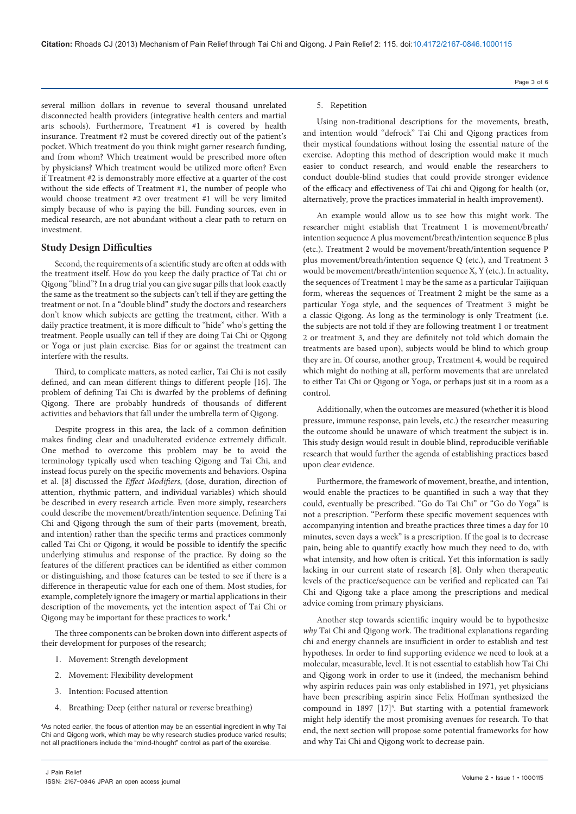several million dollars in revenue to several thousand unrelated disconnected health providers (integrative health centers and martial arts schools). Furthermore, Treatment #1 is covered by health insurance. Treatment #2 must be covered directly out of the patient's pocket. Which treatment do you think might garner research funding, and from whom? Which treatment would be prescribed more often by physicians? Which treatment would be utilized more often? Even if Treatment #2 is demonstrably more effective at a quarter of the cost without the side effects of Treatment #1, the number of people who would choose treatment #2 over treatment #1 will be very limited simply because of who is paying the bill. Funding sources, even in medical research, are not abundant without a clear path to return on investment.

# **Study Design Difficulties**

Second, the requirements of a scientific study are often at odds with the treatment itself. How do you keep the daily practice of Tai chi or Qigong "blind"? In a drug trial you can give sugar pills that look exactly the same as the treatment so the subjects can't tell if they are getting the treatment or not. In a "double blind" study the doctors and researchers don't know which subjects are getting the treatment, either. With a daily practice treatment, it is more difficult to "hide" who's getting the treatment. People usually can tell if they are doing Tai Chi or Qigong or Yoga or just plain exercise. Bias for or against the treatment can interfere with the results.

Third, to complicate matters, as noted earlier, Tai Chi is not easily defined, and can mean different things to different people [16]. The problem of defining Tai Chi is dwarfed by the problems of defining Qigong. There are probably hundreds of thousands of different activities and behaviors that fall under the umbrella term of Qigong.

Despite progress in this area, the lack of a common definition makes finding clear and unadulterated evidence extremely difficult. One method to overcome this problem may be to avoid the terminology typically used when teaching Qigong and Tai Chi, and instead focus purely on the specific movements and behaviors. Ospina et al. [8] discussed the *Effect Modifiers*, (dose, duration, direction of attention, rhythmic pattern, and individual variables) which should be described in every research article. Even more simply, researchers could describe the movement/breath/intention sequence. Defining Tai Chi and Qigong through the sum of their parts (movement, breath, and intention) rather than the specific terms and practices commonly called Tai Chi or Qigong, it would be possible to identify the specific underlying stimulus and response of the practice. By doing so the features of the different practices can be identified as either common or distinguishing, and those features can be tested to see if there is a difference in therapeutic value for each one of them. Most studies, for example, completely ignore the imagery or martial applications in their description of the movements, yet the intention aspect of Tai Chi or Qigong may be important for these practices to work.4

The three components can be broken down into different aspects of their development for purposes of the research;

- 1. Movement: Strength development
- 2. Movement: Flexibility development
- 3. Intention: Focused attention
- 4. Breathing: Deep (either natural or reverse breathing)

#### Page 3 of 6

## 5. Repetition

Using non-traditional descriptions for the movements, breath, and intention would "defrock" Tai Chi and Qigong practices from their mystical foundations without losing the essential nature of the exercise. Adopting this method of description would make it much easier to conduct research, and would enable the researchers to conduct double-blind studies that could provide stronger evidence of the efficacy and effectiveness of Tai chi and Qigong for health (or, alternatively, prove the practices immaterial in health improvement).

An example would allow us to see how this might work. The researcher might establish that Treatment 1 is movement/breath/ intention sequence A plus movement/breath/intention sequence B plus (etc.). Treatment 2 would be movement/breath/intention sequence P plus movement/breath/intention sequence Q (etc.), and Treatment 3 would be movement/breath/intention sequence X, Y (etc.). In actuality, the sequences of Treatment 1 may be the same as a particular Taijiquan form, whereas the sequences of Treatment 2 might be the same as a particular Yoga style, and the sequences of Treatment 3 might be a classic Qigong. As long as the terminology is only Treatment (i.e. the subjects are not told if they are following treatment 1 or treatment 2 or treatment 3, and they are definitely not told which domain the treatments are based upon), subjects would be blind to which group they are in. Of course, another group, Treatment 4, would be required which might do nothing at all, perform movements that are unrelated to either Tai Chi or Qigong or Yoga, or perhaps just sit in a room as a control.

Additionally, when the outcomes are measured (whether it is blood pressure, immune response, pain levels, etc.) the researcher measuring the outcome should be unaware of which treatment the subject is in. This study design would result in double blind, reproducible verifiable research that would further the agenda of establishing practices based upon clear evidence.

Furthermore, the framework of movement, breathe, and intention, would enable the practices to be quantified in such a way that they could, eventually be prescribed. "Go do Tai Chi" or "Go do Yoga" is not a prescription. "Perform these specific movement sequences with accompanying intention and breathe practices three times a day for 10 minutes, seven days a week" is a prescription. If the goal is to decrease pain, being able to quantify exactly how much they need to do, with what intensity, and how often is critical**.** Yet this information is sadly lacking in our current state of research [8]. Only when therapeutic levels of the practice/sequence can be verified and replicated can Tai Chi and Qigong take a place among the prescriptions and medical advice coming from primary physicians.

Another step towards scientific inquiry would be to hypothesize *why* Tai Chi and Qigong work. The traditional explanations regarding chi and energy channels are insufficient in order to establish and test hypotheses. In order to find supporting evidence we need to look at a molecular, measurable, level. It is not essential to establish how Tai Chi and Qigong work in order to use it (indeed, the mechanism behind why aspirin reduces pain was only established in 1971, yet physicians have been prescribing aspirin since Felix Hoffman synthesized the compound in 1897  $[17]^5$ . But starting with a potential framework might help identify the most promising avenues for research. To that end, the next section will propose some potential frameworks for how and why Tai Chi and Qigong work to decrease pain.

<sup>4</sup> As noted earlier, the focus of attention may be an essential ingredient in why Tai Chi and Qigong work, which may be why research studies produce varied results; not all practitioners include the "mind-thought" control as part of the exercise.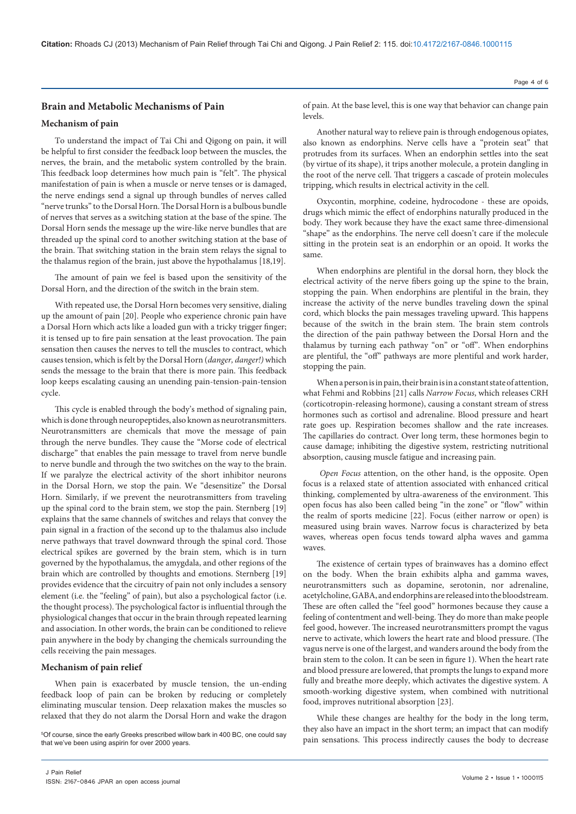## **Brain and Metabolic Mechanisms of Pain**

## **Mechanism of pain**

To understand the impact of Tai Chi and Qigong on pain, it will be helpful to first consider the feedback loop between the muscles, the nerves, the brain, and the metabolic system controlled by the brain. This feedback loop determines how much pain is "felt". The physical manifestation of pain is when a muscle or nerve tenses or is damaged, the nerve endings send a signal up through bundles of nerves called "nerve trunks" to the Dorsal Horn. The Dorsal Horn is a bulbous bundle of nerves that serves as a switching station at the base of the spine. The Dorsal Horn sends the message up the wire-like nerve bundles that are threaded up the spinal cord to another switching station at the base of the brain. That switching station in the brain stem relays the signal to the thalamus region of the brain, just above the hypothalamus [18,19].

The amount of pain we feel is based upon the sensitivity of the Dorsal Horn, and the direction of the switch in the brain stem.

With repeated use, the Dorsal Horn becomes very sensitive, dialing up the amount of pain [20]. People who experience chronic pain have a Dorsal Horn which acts like a loaded gun with a tricky trigger finger; it is tensed up to fire pain sensation at the least provocation. The pain sensation then causes the nerves to tell the muscles to contract, which causes tension, which is felt by the Dorsal Horn (*danger, danger!)* which sends the message to the brain that there is more pain. This feedback loop keeps escalating causing an unending pain-tension-pain-tension cycle.

This cycle is enabled through the body's method of signaling pain, which is done through neuropeptides, also known as neurotransmitters. Neurotransmitters are chemicals that move the message of pain through the nerve bundles. They cause the "Morse code of electrical discharge" that enables the pain message to travel from nerve bundle to nerve bundle and through the two switches on the way to the brain. If we paralyze the electrical activity of the short inhibitor neurons in the Dorsal Horn, we stop the pain. We "desensitize" the Dorsal Horn. Similarly, if we prevent the neurotransmitters from traveling up the spinal cord to the brain stem, we stop the pain. Sternberg [19] explains that the same channels of switches and relays that convey the pain signal in a fraction of the second up to the thalamus also include nerve pathways that travel downward through the spinal cord. Those electrical spikes are governed by the brain stem, which is in turn governed by the hypothalamus, the amygdala, and other regions of the brain which are controlled by thoughts and emotions. Sternberg [19] provides evidence that the circuitry of pain not only includes a sensory element (i.e. the "feeling" of pain), but also a psychological factor (i.e. the thought process). The psychological factor is influential through the physiological changes that occur in the brain through repeated learning and association. In other words, the brain can be conditioned to relieve pain anywhere in the body by changing the chemicals surrounding the cells receiving the pain messages.

## **Mechanism of pain relief**

When pain is exacerbated by muscle tension, the un-ending feedback loop of pain can be broken by reducing or completely eliminating muscular tension. Deep relaxation makes the muscles so relaxed that they do not alarm the Dorsal Horn and wake the dragon

<sup>5</sup>Of course, since the early Greeks prescribed willow bark in 400 BC, one could say that we've been using aspirin for over 2000 years.

Another natural way to relieve pain is through endogenous opiates, also known as endorphins. Nerve cells have a "protein seat" that protrudes from its surfaces. When an endorphin settles into the seat (by virtue of its shape), it trips another molecule, a protein dangling in the root of the nerve cell. That triggers a cascade of protein molecules tripping, which results in electrical activity in the cell.

Oxycontin, morphine, codeine, hydrocodone - these are opoids, drugs which mimic the effect of endorphins naturally produced in the body. They work because they have the exact same three-dimensional "shape" as the endorphins. The nerve cell doesn't care if the molecule sitting in the protein seat is an endorphin or an opoid. It works the same.

When endorphins are plentiful in the dorsal horn, they block the electrical activity of the nerve fibers going up the spine to the brain, stopping the pain. When endorphins are plentiful in the brain, they increase the activity of the nerve bundles traveling down the spinal cord, which blocks the pain messages traveling upward. This happens because of the switch in the brain stem. The brain stem controls the direction of the pain pathway between the Dorsal Horn and the thalamus by turning each pathway "on" or "off". When endorphins are plentiful, the "off" pathways are more plentiful and work harder, stopping the pain.

When a person is in pain, their brain is in a constant state of attention, what Fehmi and Robbins [21] calls *Narrow Focus*, which releases CRH (corticotropin-releasing hormone), causing a constant stream of stress hormones such as cortisol and adrenaline. Blood pressure and heart rate goes up. Respiration becomes shallow and the rate increases. The capillaries do contract. Over long term, these hormones begin to cause damage; inhibiting the digestive system, restricting nutritional absorption, causing muscle fatigue and increasing pain.

*Open Focus* attention, on the other hand, is the opposite. Open focus is a relaxed state of attention associated with enhanced critical thinking, complemented by ultra-awareness of the environment. This open focus has also been called being "in the zone" or "flow" within the realm of sports medicine [22]. Focus (either narrow or open) is measured using brain waves. Narrow focus is characterized by beta waves, whereas open focus tends toward alpha waves and gamma waves.

The existence of certain types of brainwaves has a domino effect on the body. When the brain exhibits alpha and gamma waves, neurotransmitters such as dopamine, serotonin, nor adrenaline, acetylcholine, GABA, and endorphins are released into the bloodstream. These are often called the "feel good" hormones because they cause a feeling of contentment and well-being. They do more than make people feel good, however. The increased neurotransmitters prompt the vagus nerve to activate, which lowers the heart rate and blood pressure. (The vagus nerve is one of the largest, and wanders around the body from the brain stem to the colon. It can be seen in figure 1). When the heart rate and blood pressure are lowered, that prompts the lungs to expand more fully and breathe more deeply, which activates the digestive system. A smooth-working digestive system, when combined with nutritional food, improves nutritional absorption [23].

While these changes are healthy for the body in the long term, they also have an impact in the short term; an impact that can modify pain sensations. This process indirectly causes the body to decrease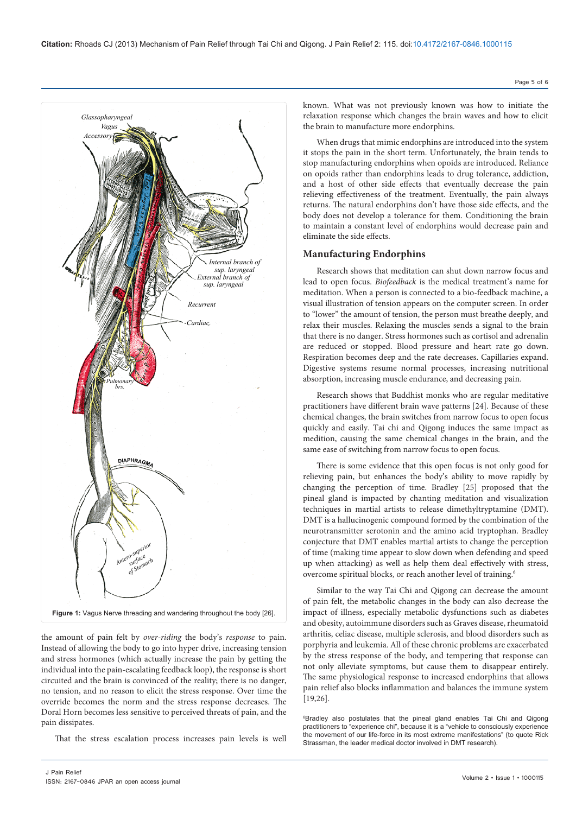

the amount of pain felt by *over-riding* the body's *response* to pain. Instead of allowing the body to go into hyper drive, increasing tension and stress hormones (which actually increase the pain by getting the individual into the pain-escalating feedback loop), the response is short circuited and the brain is convinced of the reality; there is no danger, no tension, and no reason to elicit the stress response. Over time the override becomes the norm and the stress response decreases. The Doral Horn becomes less sensitive to perceived threats of pain, and the pain dissipates.

That the stress escalation process increases pain levels is well

known. What was not previously known was how to initiate the relaxation response which changes the brain waves and how to elicit the brain to manufacture more endorphins.

When drugs that mimic endorphins are introduced into the system it stops the pain in the short term. Unfortunately, the brain tends to stop manufacturing endorphins when opoids are introduced. Reliance on opoids rather than endorphins leads to drug tolerance, addiction, and a host of other side effects that eventually decrease the pain relieving effectiveness of the treatment. Eventually, the pain always returns. The natural endorphins don't have those side effects, and the body does not develop a tolerance for them. Conditioning the brain to maintain a constant level of endorphins would decrease pain and eliminate the side effects.

## **Manufacturing Endorphins**

Research shows that meditation can shut down narrow focus and lead to open focus. *Biofeedback* is the medical treatment's name for meditation. When a person is connected to a bio-feedback machine, a visual illustration of tension appears on the computer screen. In order to "lower" the amount of tension, the person must breathe deeply, and relax their muscles. Relaxing the muscles sends a signal to the brain that there is no danger. Stress hormones such as cortisol and adrenalin are reduced or stopped. Blood pressure and heart rate go down. Respiration becomes deep and the rate decreases. Capillaries expand. Digestive systems resume normal processes, increasing nutritional absorption, increasing muscle endurance, and decreasing pain.

Research shows that Buddhist monks who are regular meditative practitioners have different brain wave patterns [24]. Because of these chemical changes, the brain switches from narrow focus to open focus quickly and easily. Tai chi and Qigong induces the same impact as medition, causing the same chemical changes in the brain, and the same ease of switching from narrow focus to open focus.

There is some evidence that this open focus is not only good for relieving pain, but enhances the body's ability to move rapidly by changing the perception of time. Bradley [25] proposed that the pineal gland is impacted by chanting meditation and visualization techniques in martial artists to release dimethyltryptamine (DMT). DMT is a hallucinogenic compound formed by the combination of the neurotransmitter serotonin and the amino acid tryptophan. Bradley conjecture that DMT enables martial artists to change the perception of time (making time appear to slow down when defending and speed up when attacking) as well as help them deal effectively with stress, overcome spiritual blocks, or reach another level of training.6

Similar to the way Tai Chi and Qigong can decrease the amount of pain felt, the metabolic changes in the body can also decrease the impact of illness, especially metabolic dysfunctions such as diabetes and obesity, autoimmune disorders such as Graves disease, rheumatoid arthritis, celiac disease, multiple sclerosis, and blood disorders such as porphyria and leukemia. All of these chronic problems are exacerbated by the stress response of the body, and tempering that response can not only alleviate symptoms, but cause them to disappear entirely. The same physiological response to increased endorphins that allows pain relief also blocks inflammation and balances the immune system [19,26].

6 Bradley also postulates that the pineal gland enables Tai Chi and Qigong practitioners to "experience chi", because it is a "vehicle to consciously experience the movement of our life-force in its most extreme manifestations" (to quote Rick Strassman, the leader medical doctor involved in DMT research).